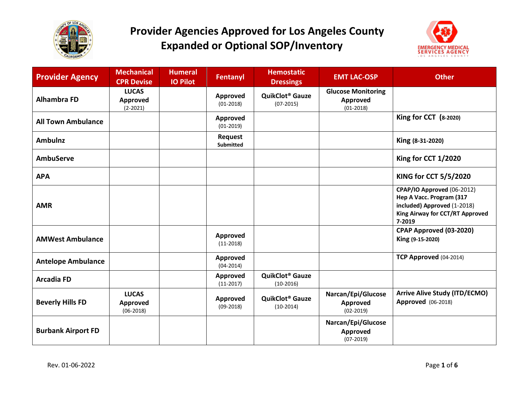



| <b>Provider Agency</b>    | <b>Mechanical</b><br><b>CPR Devise</b>   | <b>Humeral</b><br><b>IO Pilot</b> | <b>Fentanyl</b>             | <b>Hemostatic</b><br><b>Dressings</b>            | <b>EMT LAC-OSP</b>                                     | <b>Other</b>                                                                                                                       |
|---------------------------|------------------------------------------|-----------------------------------|-----------------------------|--------------------------------------------------|--------------------------------------------------------|------------------------------------------------------------------------------------------------------------------------------------|
| <b>Alhambra FD</b>        | <b>LUCAS</b><br>Approved<br>$(2 - 2021)$ |                                   | Approved<br>$(01-2018)$     | QuikClot <sup>®</sup> Gauze<br>$(07-2015)$       | <b>Glucose Monitoring</b><br>Approved<br>$(01 - 2018)$ |                                                                                                                                    |
| <b>All Town Ambulance</b> |                                          |                                   | Approved<br>$(01-2019)$     |                                                  |                                                        | King for CCT (8-2020)                                                                                                              |
| <b>Ambulnz</b>            |                                          |                                   | <b>Request</b><br>Submitted |                                                  |                                                        | King (8-31-2020)                                                                                                                   |
| <b>AmbuServe</b>          |                                          |                                   |                             |                                                  |                                                        | King for CCT 1/2020                                                                                                                |
| <b>APA</b>                |                                          |                                   |                             |                                                  |                                                        | KING for CCT 5/5/2020                                                                                                              |
| <b>AMR</b>                |                                          |                                   |                             |                                                  |                                                        | CPAP/IO Approved (06-2012)<br>Hep A Vacc. Program (317<br>included) Approved (1-2018)<br>King Airway for CCT/RT Approved<br>7-2019 |
| <b>AMWest Ambulance</b>   |                                          |                                   | Approved<br>$(11-2018)$     |                                                  |                                                        | CPAP Approved (03-2020)<br>King (9-15-2020)                                                                                        |
| <b>Antelope Ambulance</b> |                                          |                                   | Approved<br>$(04 - 2014)$   |                                                  |                                                        | TCP Approved (04-2014)                                                                                                             |
| <b>Arcadia FD</b>         |                                          |                                   | Approved<br>$(11-2017)$     | QuikClot <sup>®</sup> Gauze<br>$(10-2016)$       |                                                        |                                                                                                                                    |
| <b>Beverly Hills FD</b>   | <b>LUCAS</b><br>Approved<br>$(06-2018)$  |                                   | Approved<br>$(09-2018)$     | <b>QuikClot<sup>®</sup> Gauze</b><br>$(10-2014)$ | Narcan/Epi/Glucose<br>Approved<br>$(02 - 2019)$        | <b>Arrive Alive Study (ITD/ECMO)</b><br><b>Approved</b> (06-2018)                                                                  |
| <b>Burbank Airport FD</b> |                                          |                                   |                             |                                                  | Narcan/Epi/Glucose<br>Approved<br>$(07-2019)$          |                                                                                                                                    |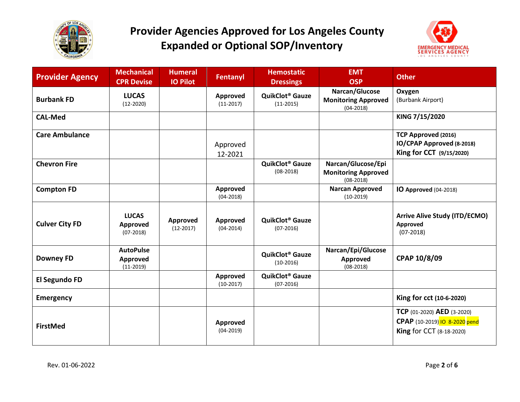



| <b>Provider Agency</b> | <b>Mechanical</b><br><b>CPR Devise</b>      | <b>Humeral</b><br><b>IO Pilot</b> | <b>Fentanyl</b>                  | <b>Hemostatic</b><br><b>Dressings</b>      | <b>EMT</b><br><b>OSP</b>                                        | <b>Other</b>                                                                                   |
|------------------------|---------------------------------------------|-----------------------------------|----------------------------------|--------------------------------------------|-----------------------------------------------------------------|------------------------------------------------------------------------------------------------|
| <b>Burbank FD</b>      | <b>LUCAS</b><br>$(12-2020)$                 |                                   | Approved<br>$(11-2017)$          | QuikClot <sup>®</sup> Gauze<br>$(11-2015)$ | Narcan/Glucose<br><b>Monitoring Approved</b><br>$(04 - 2018)$   | Oxygen<br>(Burbank Airport)                                                                    |
| <b>CAL-Med</b>         |                                             |                                   |                                  |                                            |                                                                 | KING 7/15/2020                                                                                 |
| <b>Care Ambulance</b>  |                                             |                                   | Approved<br>12-2021              |                                            |                                                                 | <b>TCP Approved (2016)</b><br>IO/CPAP Approved (8-2018)<br>King for CCT (9/15/2020)            |
| <b>Chevron Fire</b>    |                                             |                                   |                                  | QuikClot <sup>®</sup> Gauze<br>$(08-2018)$ | Narcan/Glucose/Epi<br><b>Monitoring Approved</b><br>$(08-2018)$ |                                                                                                |
| <b>Compton FD</b>      |                                             |                                   | Approved<br>$(04 - 2018)$        |                                            | <b>Narcan Approved</b><br>$(10-2019)$                           | IO Approved (04-2018)                                                                          |
| <b>Culver City FD</b>  | <b>LUCAS</b><br>Approved<br>$(07-2018)$     | Approved<br>$(12-2017)$           | Approved<br>$(04 - 2014)$        | QuikClot <sup>®</sup> Gauze<br>$(07-2016)$ |                                                                 | <b>Arrive Alive Study (ITD/ECMO)</b><br>Approved<br>$(07-2018)$                                |
| <b>Downey FD</b>       | <b>AutoPulse</b><br>Approved<br>$(11-2019)$ |                                   |                                  | QuikClot <sup>®</sup> Gauze<br>$(10-2016)$ | Narcan/Epi/Glucose<br>Approved<br>$(08-2018)$                   | CPAP 10/8/09                                                                                   |
| El Segundo FD          |                                             |                                   | Approved<br>$(10-2017)$          | QuikClot <sup>®</sup> Gauze<br>$(07-2016)$ |                                                                 |                                                                                                |
| <b>Emergency</b>       |                                             |                                   |                                  |                                            |                                                                 | King for cct (10-6-2020)                                                                       |
| <b>FirstMed</b>        |                                             |                                   | <b>Approved</b><br>$(04 - 2019)$ |                                            |                                                                 | TCP (01-2020) AED (3-2020)<br>CPAP (10-2019) IO 8-2020 pend<br><b>King for CCT (8-18-2020)</b> |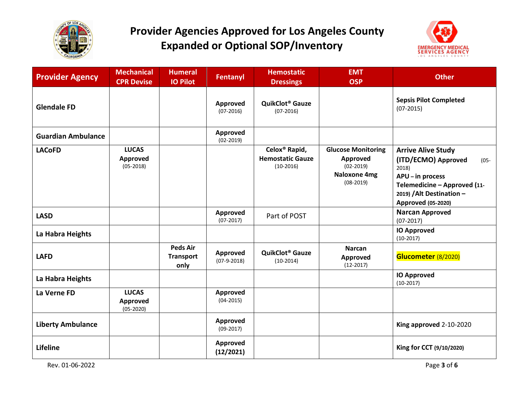



| <b>Provider Agency</b>    | <b>Mechanical</b><br><b>CPR Devise</b>         | <b>Humeral</b><br><b>IO Pilot</b>           | Fentanyl                         | <b>Hemostatic</b><br><b>Dressings</b>                               | <b>EMT</b><br><b>OSP</b>                                                            | <b>Other</b>                                                                                                                                                                |
|---------------------------|------------------------------------------------|---------------------------------------------|----------------------------------|---------------------------------------------------------------------|-------------------------------------------------------------------------------------|-----------------------------------------------------------------------------------------------------------------------------------------------------------------------------|
| <b>Glendale FD</b>        |                                                |                                             | <b>Approved</b><br>$(07-2016)$   | QuikClot <sup>®</sup> Gauze<br>$(07-2016)$                          |                                                                                     | <b>Sepsis Pilot Completed</b><br>$(07-2015)$                                                                                                                                |
| <b>Guardian Ambulance</b> |                                                |                                             | Approved<br>$(02 - 2019)$        |                                                                     |                                                                                     |                                                                                                                                                                             |
| <b>LACoFD</b>             | <b>LUCAS</b><br><b>Approved</b><br>$(05-2018)$ |                                             |                                  | Celox <sup>®</sup> Rapid,<br><b>Hemostatic Gauze</b><br>$(10-2016)$ | <b>Glucose Monitoring</b><br>Approved<br>$(02-2019)$<br>Naloxone 4mg<br>$(08-2019)$ | <b>Arrive Alive Study</b><br>(ITD/ECMO) Approved<br>$(05 -$<br>2018)<br>APU - in process<br>Telemedicine - Approved (11-<br>2019) / Alt Destination -<br>Approved (05-2020) |
| <b>LASD</b>               |                                                |                                             | Approved<br>$(07-2017)$          | Part of POST                                                        |                                                                                     | <b>Narcan Approved</b><br>$(07-2017)$                                                                                                                                       |
| La Habra Heights          |                                                |                                             |                                  |                                                                     |                                                                                     | <b>IO Approved</b><br>$(10-2017)$                                                                                                                                           |
| <b>LAFD</b>               |                                                | <b>Peds Air</b><br><b>Transport</b><br>only | <b>Approved</b><br>$(07-9-2018)$ | <b>QuikClot<sup>®</sup> Gauze</b><br>$(10-2014)$                    | <b>Narcan</b><br>Approved<br>$(12-2017)$                                            | Glucometer (8/2020)                                                                                                                                                         |
| La Habra Heights          |                                                |                                             |                                  |                                                                     |                                                                                     | <b>IO Approved</b><br>$(10-2017)$                                                                                                                                           |
| La Verne FD               | <b>LUCAS</b><br>Approved<br>$(05 - 2020)$      |                                             | <b>Approved</b><br>$(04-2015)$   |                                                                     |                                                                                     |                                                                                                                                                                             |
| <b>Liberty Ambulance</b>  |                                                |                                             | <b>Approved</b><br>$(09-2017)$   |                                                                     |                                                                                     | King approved 2-10-2020                                                                                                                                                     |
| <b>Lifeline</b>           |                                                |                                             | Approved<br>(12/2021)            |                                                                     |                                                                                     | King for CCT (9/10/2020)                                                                                                                                                    |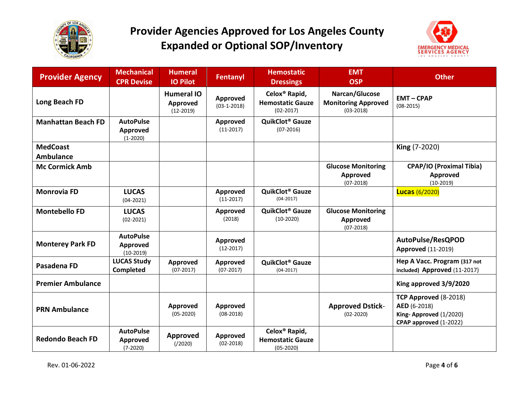



| <b>Provider Agency</b>              | <b>Mechanical</b><br><b>CPR Devise</b>      | <b>Humeral</b><br><b>IO Pilot</b>            | <b>Fentanyl</b>                | <b>Hemostatic</b><br><b>Dressings</b>                               | <b>EMT</b><br><b>OSP</b>                                    | <b>Other</b>                                                                              |
|-------------------------------------|---------------------------------------------|----------------------------------------------|--------------------------------|---------------------------------------------------------------------|-------------------------------------------------------------|-------------------------------------------------------------------------------------------|
| Long Beach FD                       |                                             | <b>Humeral IO</b><br>Approved<br>$(12-2019)$ | Approved<br>$(03-1-2018)$      | Celox <sup>®</sup> Rapid,<br><b>Hemostatic Gauze</b><br>$(02-2017)$ | Narcan/Glucose<br><b>Monitoring Approved</b><br>$(03-2018)$ | <b>EMT-CPAP</b><br>$(08-2015)$                                                            |
| <b>Manhattan Beach FD</b>           | <b>AutoPulse</b><br>Approved<br>$(1-2020)$  |                                              | Approved<br>$(11-2017)$        | QuikClot <sup>®</sup> Gauze<br>$(07-2016)$                          |                                                             |                                                                                           |
| <b>MedCoast</b><br><b>Ambulance</b> |                                             |                                              |                                |                                                                     |                                                             | King (7-2020)                                                                             |
| <b>Mc Cormick Amb</b>               |                                             |                                              |                                |                                                                     | <b>Glucose Monitoring</b><br><b>Approved</b><br>$(07-2018)$ | <b>CPAP/IO (Proximal Tibia)</b><br>Approved<br>$(10-2019)$                                |
| <b>Monrovia FD</b>                  | <b>LUCAS</b><br>$(04 - 2021)$               |                                              | Approved<br>$(11-2017)$        | QuikClot <sup>®</sup> Gauze<br>$(04-2017)$                          |                                                             | <b>Lucas (6/2020)</b>                                                                     |
| <b>Montebello FD</b>                | <b>LUCAS</b><br>$(02 - 2021)$               |                                              | Approved<br>(2018)             | QuikClot <sup>®</sup> Gauze<br>$(10-2020)$                          | <b>Glucose Monitoring</b><br>Approved<br>$(07-2018)$        |                                                                                           |
| <b>Monterey Park FD</b>             | <b>AutoPulse</b><br>Approved<br>$(10-2019)$ |                                              | Approved<br>$(12-2017)$        |                                                                     |                                                             | AutoPulse/ResQPOD<br><b>Approved (11-2019)</b>                                            |
| Pasadena FD                         | <b>LUCAS Study</b><br><b>Completed</b>      | Approved<br>$(07-2017)$                      | <b>Approved</b><br>$(07-2017)$ | QuikClot <sup>®</sup> Gauze<br>$(04-2017)$                          |                                                             | Hep A Vacc. Program (317 not<br>included) Approved (11-2017)                              |
| <b>Premier Ambulance</b>            |                                             |                                              |                                |                                                                     |                                                             | King approved 3/9/2020                                                                    |
| <b>PRN Ambulance</b>                |                                             | Approved<br>$(05-2020)$                      | Approved<br>$(08-2018)$        |                                                                     | <b>Approved Dstick-</b><br>$(02 - 2020)$                    | TCP Approved (8-2018)<br>AED (6-2018)<br>King-Approved (1/2020)<br>CPAP approved (1-2022) |
| <b>Redondo Beach FD</b>             | <b>AutoPulse</b><br>Approved<br>$(7-2020)$  | Approved<br>( / 2020 )                       | Approved<br>$(02-2018)$        | Celox <sup>®</sup> Rapid,<br><b>Hemostatic Gauze</b><br>$(05-2020)$ |                                                             |                                                                                           |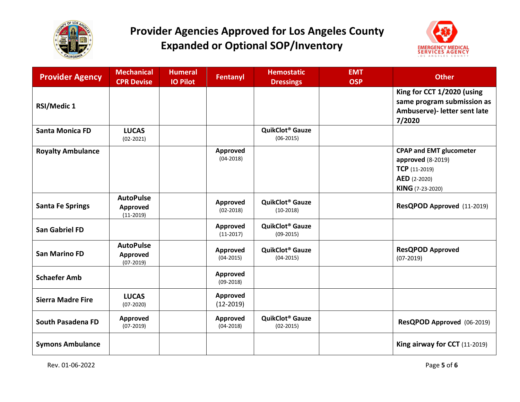



| <b>Provider Agency</b>   | <b>Mechanical</b><br><b>CPR Devise</b>      | <b>Humeral</b><br><b>IO Pilot</b> | <b>Fentanyl</b>                | <b>Hemostatic</b><br><b>Dressings</b>              | <b>EMT</b><br><b>OSP</b> | <b>Other</b>                                                                                                      |
|--------------------------|---------------------------------------------|-----------------------------------|--------------------------------|----------------------------------------------------|--------------------------|-------------------------------------------------------------------------------------------------------------------|
| <b>RSI/Medic 1</b>       |                                             |                                   |                                |                                                    |                          | King for CCT 1/2020 (using<br>same program submission as<br>Ambuserve)- letter sent late<br>7/2020                |
| <b>Santa Monica FD</b>   | <b>LUCAS</b><br>$(02-2021)$                 |                                   |                                | QuikClot <sup>®</sup> Gauze<br>$(06-2015)$         |                          |                                                                                                                   |
| <b>Royalty Ambulance</b> |                                             |                                   | Approved<br>$(04-2018)$        |                                                    |                          | <b>CPAP and EMT glucometer</b><br>approved (8-2019)<br>$TCP (11-2019)$<br><b>AED</b> (2-2020)<br>KING (7-23-2020) |
| <b>Santa Fe Springs</b>  | <b>AutoPulse</b><br>Approved<br>$(11-2019)$ |                                   | Approved<br>$(02-2018)$        | <b>QuikClot<sup>®</sup> Gauze</b><br>$(10-2018)$   |                          | ResQPOD Approved (11-2019)                                                                                        |
| <b>San Gabriel FD</b>    |                                             |                                   | Approved<br>$(11-2017)$        | <b>QuikClot<sup>®</sup> Gauze</b><br>$(09-2015)$   |                          |                                                                                                                   |
| <b>San Marino FD</b>     | <b>AutoPulse</b><br>Approved<br>$(07-2019)$ |                                   | Approved<br>$(04 - 2015)$      | <b>QuikClot<sup>®</sup> Gauze</b><br>$(04 - 2015)$ |                          | <b>ResQPOD Approved</b><br>$(07-2019)$                                                                            |
| <b>Schaefer Amb</b>      |                                             |                                   | Approved<br>$(09-2018)$        |                                                    |                          |                                                                                                                   |
| <b>Sierra Madre Fire</b> | <b>LUCAS</b><br>$(07-2020)$                 |                                   | <b>Approved</b><br>$(12-2019)$ |                                                    |                          |                                                                                                                   |
| <b>South Pasadena FD</b> | Approved<br>$(07-2019)$                     |                                   | Approved<br>$(04 - 2018)$      | QuikClot <sup>®</sup> Gauze<br>$(02-2015)$         |                          | ResQPOD Approved (06-2019)                                                                                        |
| <b>Symons Ambulance</b>  |                                             |                                   |                                |                                                    |                          | King airway for CCT (11-2019)                                                                                     |